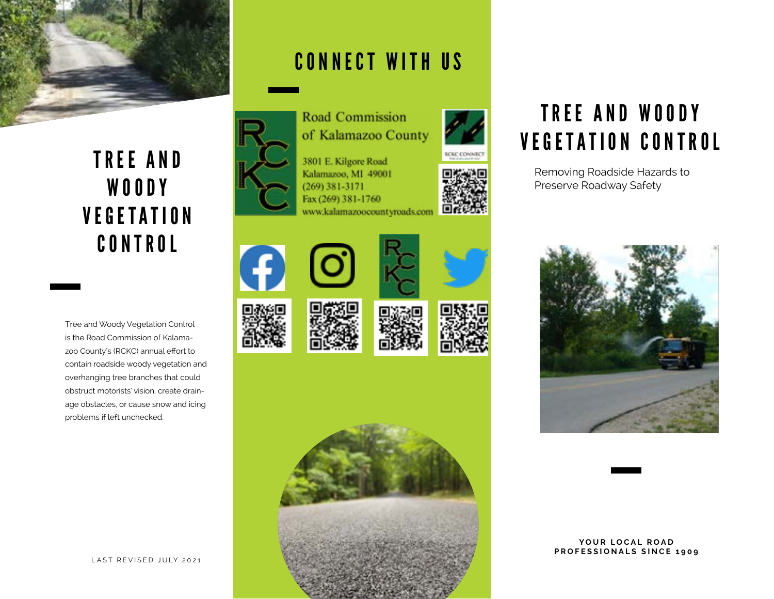

#### TREE AND WOODY V E G E T A T I O N CONTROL

Tree and Woody Vegetation Control is the Road Commission of Kalamazoo County's (RCKC) annual effort to contain roadside woody vegetation and overhanging tree branches that could obstruct motorists' vision, create drainage obstacles, or cause snow and icing problems if left unchecked.

#### CONNECT WITH US



**Road Commission** of Kalamazoo County

3801 E. Kilgore Road Kalamazoo, MI 49001  $(269)$  381-3171 Fax (269) 381-1760 www.kalamazoocountyroads.com

















### TREE AND WOODY VEGETATION CONTROL

Removing Roadside Hazards to Preserve Roadway Safety



#### YOUR LOCAL ROAD **PROFESSIONALS SINCE 1909**

LAST REVISED JULY 2021